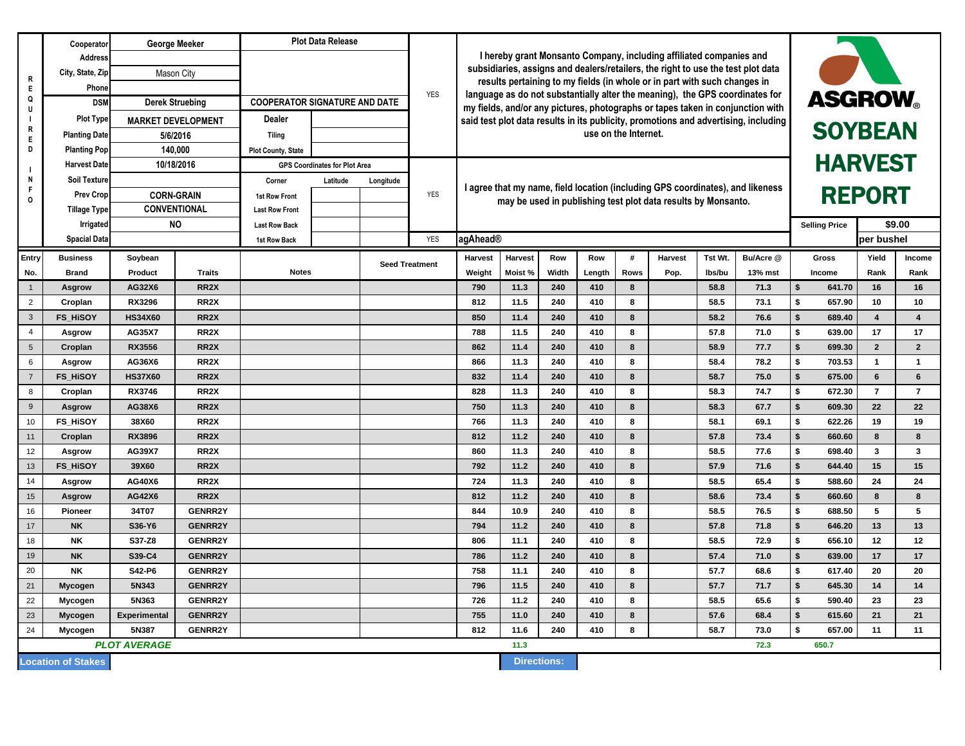|                                                 | Cooperator                       | <b>George Meeker</b>                                  |                   | <b>Plot Data Release</b>             |                       |                       | <b>YES</b> |                                                                                                                                                                                 |         |       |        |             |         |         |           |                                                   |                      |                 |                 |  |
|-------------------------------------------------|----------------------------------|-------------------------------------------------------|-------------------|--------------------------------------|-----------------------|-----------------------|------------|---------------------------------------------------------------------------------------------------------------------------------------------------------------------------------|---------|-------|--------|-------------|---------|---------|-----------|---------------------------------------------------|----------------------|-----------------|-----------------|--|
| R<br>Q<br>R<br>Е                                | <b>Address</b>                   |                                                       |                   |                                      |                       |                       |            | I hereby grant Monsanto Company, including affiliated companies and<br>subsidiaries, assigns and dealers/retailers, the right to use the test plot data                         |         |       |        |             |         |         |           |                                                   |                      |                 |                 |  |
|                                                 | City, State, Zip                 | Mason City                                            |                   |                                      |                       |                       |            |                                                                                                                                                                                 |         |       |        |             |         |         |           |                                                   |                      |                 |                 |  |
|                                                 | Phone                            |                                                       |                   |                                      |                       |                       |            | results pertaining to my fields (in whole or in part with such changes in                                                                                                       |         |       |        |             |         |         |           |                                                   |                      |                 |                 |  |
|                                                 | <b>DSM</b>                       | <b>Derek Struebing</b>                                |                   | <b>COOPERATOR SIGNATURE AND DATE</b> |                       |                       |            | language as do not substantially alter the meaning), the GPS coordinates for<br><b>ASGROW</b><br>my fields, and/or any pictures, photographs or tapes taken in conjunction with |         |       |        |             |         |         |           |                                                   |                      |                 |                 |  |
|                                                 | <b>Plot Type</b>                 | <b>MARKET DEVELOPMENT</b>                             |                   | <b>Dealer</b>                        |                       |                       |            | said test plot data results in its publicity, promotions and advertising, including<br>use on the Internet.                                                                     |         |       |        |             |         |         |           | <b>SOYBEAN</b><br><b>HARVEST</b><br><b>REPORT</b> |                      |                 |                 |  |
|                                                 | <b>Planting Date</b><br>5/6/2016 |                                                       | <b>Tiling</b>     |                                      |                       |                       |            |                                                                                                                                                                                 |         |       |        |             |         |         |           |                                                   |                      |                 |                 |  |
| D                                               | <b>Planting Pop</b>              | 140,000                                               |                   | <b>Plot County, State</b>            |                       |                       |            |                                                                                                                                                                                 |         |       |        |             |         |         |           |                                                   |                      |                 |                 |  |
|                                                 | <b>Harvest Date</b>              | 10/18/2016                                            |                   | <b>GPS Coordinates for Plot Area</b> |                       |                       |            | I agree that my name, field location (including GPS coordinates), and likeness<br>may be used in publishing test plot data results by Monsanto.                                 |         |       |        |             |         |         |           |                                                   |                      |                 |                 |  |
| N                                               | Soil Texture                     |                                                       |                   | Corner                               | Latitude<br>Longitude |                       |            |                                                                                                                                                                                 |         |       |        |             |         |         |           |                                                   |                      |                 |                 |  |
| O                                               | <b>Prev Crop</b>                 | <b>CORN-GRAIN</b><br><b>CONVENTIONAL</b><br><b>NO</b> |                   | <b>1st Row Front</b>                 |                       |                       |            |                                                                                                                                                                                 |         |       |        |             |         |         |           |                                                   |                      |                 |                 |  |
|                                                 | <b>Tillage Type</b>              |                                                       |                   | <b>Last Row Front</b>                |                       |                       |            |                                                                                                                                                                                 |         |       |        |             |         |         |           |                                                   |                      |                 |                 |  |
|                                                 | <b>Irrigated</b>                 |                                                       |                   | <b>Last Row Back</b>                 |                       |                       |            |                                                                                                                                                                                 |         |       |        |             |         |         |           |                                                   | <b>Selling Price</b> |                 | \$9.00          |  |
|                                                 | <b>Spacial Data</b>              |                                                       |                   | 1st Row Back                         |                       |                       | <b>YES</b> | agAhead®                                                                                                                                                                        |         |       |        |             |         |         |           |                                                   |                      | per bushel      |                 |  |
| <b>Entry</b>                                    | <b>Business</b>                  | Soybean                                               |                   |                                      |                       | <b>Seed Treatment</b> |            | Harvest                                                                                                                                                                         | Harvest | Row   | Row    | #           | Harvest | Tst Wt. | Bu/Acre @ |                                                   | <b>Gross</b>         | Yield           | <b>Income</b>   |  |
| No.                                             | Brand                            | <b>Product</b>                                        | <b>Traits</b>     | <b>Notes</b>                         |                       |                       |            | Weight                                                                                                                                                                          | Moist % | Width | Length | <b>Rows</b> | Pop.    | Ibs/bu  | 13% mst   |                                                   | Income               | Rank            | Rank            |  |
|                                                 | <b>Asgrow</b>                    | AG32X6                                                | RR <sub>2X</sub>  |                                      |                       |                       |            | 790                                                                                                                                                                             | 11.3    | 240   | 410    | 8           |         | 58.8    | 71.3      | \$.                                               | 641.70               | 16              | 16              |  |
| $\overline{2}$                                  | Croplan                          | <b>RX3296</b>                                         | RR <sub>2X</sub>  |                                      |                       |                       |            | 812                                                                                                                                                                             | 11.5    | 240   | 410    | 8           |         | 58.5    | 73.1      | \$                                                | 657.90               | 10              | 10              |  |
| 3 <sup>2</sup>                                  | <b>FS_HiSOY</b>                  | <b>HS34X60</b>                                        | RR <sub>2</sub> X |                                      |                       |                       |            | 850                                                                                                                                                                             | 11.4    | 240   | 410    | 8           |         | 58.2    | 76.6      | \$                                                | 689.40               | $\overline{4}$  | $\overline{4}$  |  |
| $\overline{4}$                                  | <b>Asgrow</b>                    | <b>AG35X7</b>                                         | RR <sub>2X</sub>  |                                      |                       |                       |            | 788                                                                                                                                                                             | 11.5    | 240   | 410    | 8           |         | 57.8    | 71.0      | \$                                                | 639.00               | 17              | 17              |  |
| $5\overline{)}$                                 | Croplan                          | <b>RX3556</b>                                         | RR <sub>2</sub> X |                                      |                       |                       |            | 862                                                                                                                                                                             | 11.4    | 240   | 410    | 8           |         | 58.9    | 77.7      | \$                                                | 699.30               | $\overline{2}$  | $\overline{2}$  |  |
| 6                                               | <b>Asgrow</b>                    | AG36X6                                                | RR <sub>2X</sub>  |                                      |                       |                       |            | 866                                                                                                                                                                             | 11.3    | 240   | 410    | 8           |         | 58.4    | 78.2      | \$                                                | 703.53               | $\mathbf{1}$    | -1              |  |
| $\overline{7}$                                  | <b>FS HISOY</b>                  | <b>HS37X60</b>                                        | RR <sub>2</sub> X |                                      |                       |                       |            | 832                                                                                                                                                                             | 11.4    | 240   | 410    | 8           |         | 58.7    | 75.0      | \$                                                | 675.00               | $6\phantom{1}$  | 6               |  |
| 8                                               | Croplan                          | <b>RX3746</b>                                         | RR <sub>2</sub> X |                                      |                       |                       |            | 828                                                                                                                                                                             | 11.3    | 240   | 410    | 8           |         | 58.3    | 74.7      | \$                                                | 672.30               | $\overline{7}$  | $\overline{7}$  |  |
| 9                                               | <b>Asgrow</b>                    | AG38X6                                                | RR <sub>2</sub> X |                                      |                       |                       |            | 750                                                                                                                                                                             | 11.3    | 240   | 410    | 8           |         | 58.3    | 67.7      | \$                                                | 609.30               | 22              | 22              |  |
| 10                                              | FS_HiSOY                         | 38X60                                                 | RR <sub>2</sub> X |                                      |                       |                       |            | 766                                                                                                                                                                             | 11.3    | 240   | 410    | 8           |         | 58.1    | 69.1      | \$                                                | 622.26               | 19              | 19              |  |
| 11                                              | Croplan                          | <b>RX3896</b>                                         | RR <sub>2</sub> X |                                      |                       |                       |            | 812                                                                                                                                                                             | 11.2    | 240   | 410    | 8           |         | 57.8    | 73.4      | \$                                                | 660.60               | 8               | 8               |  |
| 12                                              | <b>Asgrow</b>                    | AG39X7                                                | RR <sub>2X</sub>  |                                      |                       |                       |            | 860                                                                                                                                                                             | 11.3    | 240   | 410    | 8           |         | 58.5    | 77.6      |                                                   | 698.40               | $\mathbf{3}$    | $\mathbf{3}$    |  |
| 13                                              | <b>FS_HISOY</b>                  | 39X60                                                 | RR2X              |                                      |                       |                       |            | 792                                                                                                                                                                             | 11.2    | 240   | 410    | 8           |         | 57.9    | 71.6      |                                                   | 644.40               | 15              | 15              |  |
| 14                                              | Asgrow                           | <b>AG40X6</b>                                         | RR <sub>2</sub> X |                                      |                       |                       |            | 724                                                                                                                                                                             | 11.3    | 240   | 410    | 8           |         | 58.5    | 65.4      | \$                                                | 588.60               | 24              | 24              |  |
| 15                                              | <b>Asgrow</b>                    | <b>AG42X6</b>                                         | RR <sub>2</sub> X |                                      |                       |                       |            | 812                                                                                                                                                                             | 11.2    | 240   | 410    | 8           |         | 58.6    | 73.4      | \$                                                | 660.60               | 8               | 8               |  |
| 16                                              | <b>Pioneer</b>                   | 34T07                                                 | <b>GENRR2Y</b>    |                                      |                       |                       |            | 844                                                                                                                                                                             | 10.9    | 240   | 410    | 8           |         | 58.5    | 76.5      | -\$                                               | 688.50               | 5               | $5\phantom{.0}$ |  |
| 17                                              | <b>NK</b>                        | S36-Y6                                                | <b>GENRR2Y</b>    |                                      |                       |                       |            | 794                                                                                                                                                                             | 11.2    | 240   | 410    | 8           |         | 57.8    | 71.8      | \$                                                | 646.20               | 13              | 13              |  |
| 18                                              | <b>NK</b>                        | S37-Z8                                                | <b>GENRR2Y</b>    |                                      |                       |                       |            | 806                                                                                                                                                                             | 11.1    | 240   | 410    | 8           |         | 58.5    | 72.9      | \$                                                | 656.10               | 12 <sub>2</sub> | 12              |  |
| 19                                              | <b>NK</b>                        | S39-C4                                                | <b>GENRR2Y</b>    |                                      |                       |                       |            | 786                                                                                                                                                                             | 11.2    | 240   | 410    | 8           |         | 57.4    | 71.0      | \$                                                | 639.00               | 17              | 17              |  |
| 20                                              | <b>NK</b>                        | <b>S42-P6</b>                                         | <b>GENRR2Y</b>    |                                      |                       |                       |            | 758                                                                                                                                                                             | 11.1    | 240   | 410    | 8           |         | 57.7    | 68.6      | \$                                                | 617.40               | 20              | 20              |  |
| 21                                              | <b>Mycogen</b>                   | 5N343                                                 | <b>GENRR2Y</b>    |                                      |                       |                       |            | 796                                                                                                                                                                             | 11.5    | 240   | 410    | 8           |         | 57.7    | 71.7      | \$                                                | 645.30               | 14              | 14              |  |
| 22                                              | Mycogen                          | 5N363                                                 | <b>GENRR2Y</b>    |                                      |                       |                       |            | 726                                                                                                                                                                             | 11.2    | 240   | 410    | 8           |         | 58.5    | 65.6      | -\$                                               | 590.40               | 23              | 23              |  |
| 23                                              | <b>Mycogen</b>                   | Experimental                                          | <b>GENRR2Y</b>    |                                      |                       |                       |            | 755                                                                                                                                                                             | 11.0    | 240   | 410    | 8           |         | 57.6    | 68.4      | \$                                                | 615.60               | 21              | 21              |  |
| 24                                              | Mycogen                          | 5N387                                                 | <b>GENRR2Y</b>    |                                      |                       |                       |            | 812                                                                                                                                                                             | 11.6    | 240   | 410    | 8           |         | 58.7    | 73.0      | \$                                                | 657.00               | 11              | 11              |  |
| <b>PLOT AVERAGE</b><br>11.3<br>72.3             |                                  |                                                       |                   |                                      |                       |                       |            |                                                                                                                                                                                 |         |       | 650.7  |             |         |         |           |                                                   |                      |                 |                 |  |
| <b>Location of Stakes</b><br><b>Directions:</b> |                                  |                                                       |                   |                                      |                       |                       |            |                                                                                                                                                                                 |         |       |        |             |         |         |           |                                                   |                      |                 |                 |  |